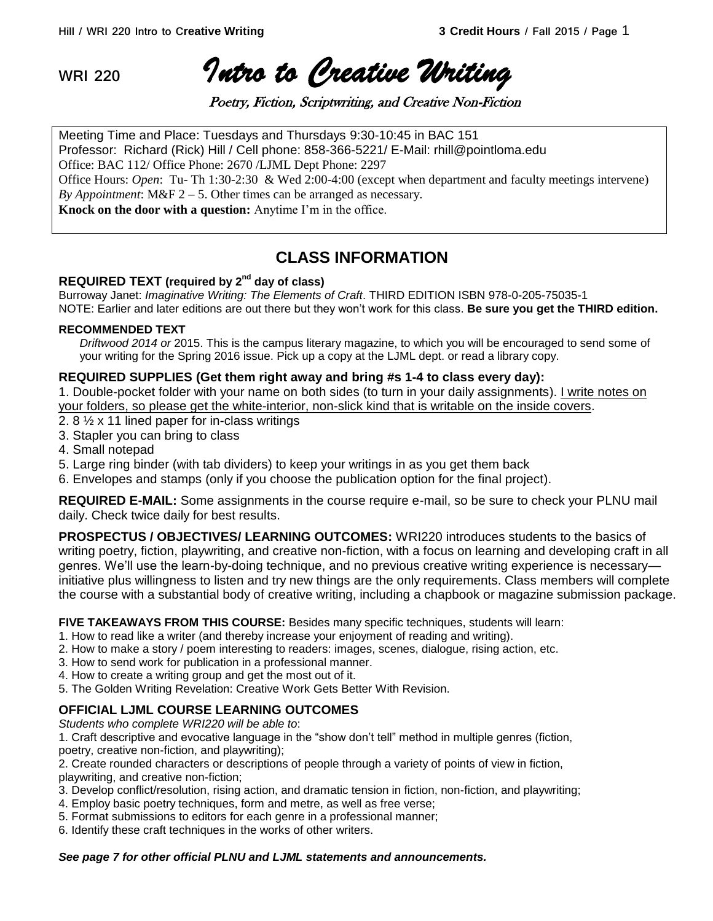**WRI 220** *Intro to Creative Writing* 

Poetry, Fiction, Scriptwriting, and Creative Non-Fiction

Meeting Time and Place: Tuesdays and Thursdays 9:30-10:45 in BAC 151 Professor: Richard (Rick) Hill / Cell phone: 858-366-5221/ E-Mail: rhill@pointloma.edu Office: BAC 112/ Office Phone: 2670 /LJML Dept Phone: 2297 Office Hours: *Open*: Tu- Th 1:30-2:30 & Wed 2:00-4:00 (except when department and faculty meetings intervene) *By Appointment*: M&F 2 – 5. Other times can be arranged as necessary. **Knock on the door with a question:** Anytime I'm in the office.

# **CLASS INFORMATION**

## **REQUIRED TEXT (required by 2nd day of class)**

Burroway Janet: *Imaginative Writing: The Elements of Craft*. THIRD EDITION ISBN 978-0-205-75035-1 NOTE: Earlier and later editions are out there but they won't work for this class. **Be sure you get the THIRD edition.**

#### **RECOMMENDED TEXT**

*Driftwood 2014 or* 2015. This is the campus literary magazine, to which you will be encouraged to send some of your writing for the Spring 2016 issue. Pick up a copy at the LJML dept. or read a library copy.

#### **REQUIRED SUPPLIES (Get them right away and bring #s 1-4 to class every day):**

1. Double-pocket folder with your name on both sides (to turn in your daily assignments). I write notes on your folders, so please get the white-interior, non-slick kind that is writable on the inside covers.

- 2. 8 ½ x 11 lined paper for in-class writings
- 3. Stapler you can bring to class
- 4. Small notepad
- 5. Large ring binder (with tab dividers) to keep your writings in as you get them back
- 6. Envelopes and stamps (only if you choose the publication option for the final project).

**REQUIRED E-MAIL:** Some assignments in the course require e-mail, so be sure to check your PLNU mail daily. Check twice daily for best results.

**PROSPECTUS / OBJECTIVES/ LEARNING OUTCOMES:** WRI220 introduces students to the basics of writing poetry, fiction, playwriting, and creative non-fiction, with a focus on learning and developing craft in all genres. We'll use the learn-by-doing technique, and no previous creative writing experience is necessary initiative plus willingness to listen and try new things are the only requirements. Class members will complete the course with a substantial body of creative writing, including a chapbook or magazine submission package.

#### **FIVE TAKEAWAYS FROM THIS COURSE:** Besides many specific techniques, students will learn:

- 1. How to read like a writer (and thereby increase your enjoyment of reading and writing).
- 2. How to make a story / poem interesting to readers: images, scenes, dialogue, rising action, etc.
- 3. How to send work for publication in a professional manner.
- 4. How to create a writing group and get the most out of it.
- 5. The Golden Writing Revelation: Creative Work Gets Better With Revision.

## **OFFICIAL LJML COURSE LEARNING OUTCOMES**

*Students who complete WRI220 will be able to*:

1. Craft descriptive and evocative language in the "show don't tell" method in multiple genres (fiction, poetry, creative non-fiction, and playwriting);

2. Create rounded characters or descriptions of people through a variety of points of view in fiction, playwriting, and creative non-fiction;

- 3. Develop conflict/resolution, rising action, and dramatic tension in fiction, non-fiction, and playwriting;
- 4. Employ basic poetry techniques, form and metre, as well as free verse;
- 5. Format submissions to editors for each genre in a professional manner;
- 6. Identify these craft techniques in the works of other writers.

#### *See page 7 for other official PLNU and LJML statements and announcements.*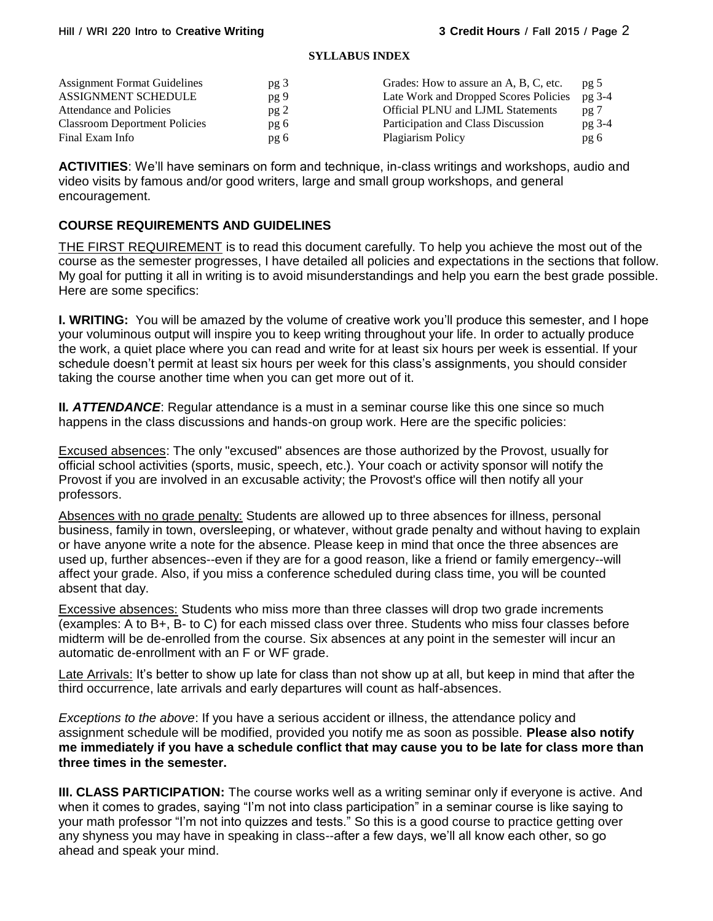#### **SYLLABUS INDEX**

| <b>Assignment Format Guidelines</b>  | pg <sub>3</sub> | Grades: How to assure an A, B, C, etc.   | pg <sub>5</sub> |
|--------------------------------------|-----------------|------------------------------------------|-----------------|
| ASSIGNMENT SCHEDULE                  | pg 9            | Late Work and Dropped Scores Policies    | pg 3-4          |
| Attendance and Policies              | pg2             | <b>Official PLNU and LJML Statements</b> | pg <sub>7</sub> |
| <b>Classroom Deportment Policies</b> | pg 6            | Participation and Class Discussion       | $pg$ 3-4        |
| Final Exam Info                      | pg 6            | Plagiarism Policy                        | pg 6            |

**ACTIVITIES**: We'll have seminars on form and technique, in-class writings and workshops, audio and video visits by famous and/or good writers, large and small group workshops, and general encouragement.

## **COURSE REQUIREMENTS AND GUIDELINES**

THE FIRST REQUIREMENT is to read this document carefully. To help you achieve the most out of the course as the semester progresses, I have detailed all policies and expectations in the sections that follow. My goal for putting it all in writing is to avoid misunderstandings and help you earn the best grade possible. Here are some specifics:

**I. WRITING:** You will be amazed by the volume of creative work you'll produce this semester, and I hope your voluminous output will inspire you to keep writing throughout your life. In order to actually produce the work, a quiet place where you can read and write for at least six hours per week is essential. If your schedule doesn't permit at least six hours per week for this class's assignments, you should consider taking the course another time when you can get more out of it.

**II***. ATTENDANCE*: Regular attendance is a must in a seminar course like this one since so much happens in the class discussions and hands-on group work. Here are the specific policies:

Excused absences: The only "excused" absences are those authorized by the Provost, usually for official school activities (sports, music, speech, etc.). Your coach or activity sponsor will notify the Provost if you are involved in an excusable activity; the Provost's office will then notify all your professors.

Absences with no grade penalty: Students are allowed up to three absences for illness, personal business, family in town, oversleeping, or whatever, without grade penalty and without having to explain or have anyone write a note for the absence. Please keep in mind that once the three absences are used up, further absences--even if they are for a good reason, like a friend or family emergency--will affect your grade. Also, if you miss a conference scheduled during class time, you will be counted absent that day.

Excessive absences: Students who miss more than three classes will drop two grade increments (examples: A to B+, B- to C) for each missed class over three. Students who miss four classes before midterm will be de-enrolled from the course. Six absences at any point in the semester will incur an automatic de-enrollment with an F or WF grade.

Late Arrivals: It's better to show up late for class than not show up at all, but keep in mind that after the third occurrence, late arrivals and early departures will count as half-absences.

*Exceptions to the above*: If you have a serious accident or illness, the attendance policy and assignment schedule will be modified, provided you notify me as soon as possible. **Please also notify me immediately if you have a schedule conflict that may cause you to be late for class more than three times in the semester.** 

**III. CLASS PARTICIPATION:** The course works well as a writing seminar only if everyone is active. And when it comes to grades, saying "I'm not into class participation" in a seminar course is like saying to your math professor "I'm not into quizzes and tests." So this is a good course to practice getting over any shyness you may have in speaking in class--after a few days, we'll all know each other, so go ahead and speak your mind.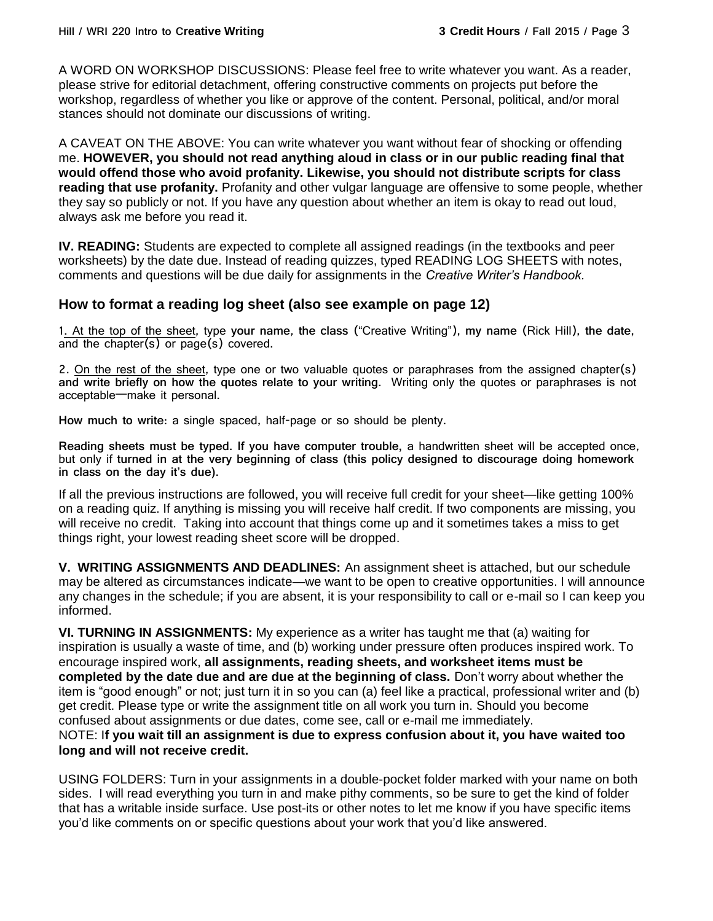A WORD ON WORKSHOP DISCUSSIONS: Please feel free to write whatever you want. As a reader, please strive for editorial detachment, offering constructive comments on projects put before the workshop, regardless of whether you like or approve of the content. Personal, political, and/or moral stances should not dominate our discussions of writing.

A CAVEAT ON THE ABOVE: You can write whatever you want without fear of shocking or offending me. **HOWEVER, you should not read anything aloud in class or in our public reading final that would offend those who avoid profanity. Likewise, you should not distribute scripts for class reading that use profanity.** Profanity and other vulgar language are offensive to some people, whether they say so publicly or not. If you have any question about whether an item is okay to read out loud, always ask me before you read it.

**IV. READING:** Students are expected to complete all assigned readings (in the textbooks and peer worksheets) by the date due. Instead of reading quizzes, typed READING LOG SHEETS with notes, comments and questions will be due daily for assignments in the *Creative Writer's Handbook.*

## **How to format a reading log sheet (also see example on page 12)**

1. At the top of the sheet, type **your name**, **the class** ("Creative Writing"), **my name** (Rick Hill), **the date**, and the chapter(s) or page(s) covered.

2. On the rest of the sheet, type one or two valuable quotes or paraphrases from the assigned chapter(s) **and write briefly on how the quotes relate to your writing.** Writing only the quotes or paraphrases is not acceptable—make it personal.

**How much to write**: a single spaced, half-page or so should be plenty.

**Reading sheets must be typed. If you have computer trouble,** a handwritten sheet will be accepted once, but only if **turned in at the very beginning of class (this policy designed to discourage doing homework in class on the day it's due).**

If all the previous instructions are followed, you will receive full credit for your sheet—like getting 100% on a reading quiz. If anything is missing you will receive half credit. If two components are missing, you will receive no credit. Taking into account that things come up and it sometimes takes a miss to get things right, your lowest reading sheet score will be dropped.

**V. WRITING ASSIGNMENTS AND DEADLINES:** An assignment sheet is attached, but our schedule may be altered as circumstances indicate—we want to be open to creative opportunities. I will announce any changes in the schedule; if you are absent, it is your responsibility to call or e-mail so I can keep you informed.

**VI. TURNING IN ASSIGNMENTS:** My experience as a writer has taught me that (a) waiting for inspiration is usually a waste of time, and (b) working under pressure often produces inspired work. To encourage inspired work, **all assignments, reading sheets, and worksheet items must be completed by the date due and are due at the beginning of class.** Don't worry about whether the item is "good enough" or not; just turn it in so you can (a) feel like a practical, professional writer and (b) get credit. Please type or write the assignment title on all work you turn in. Should you become confused about assignments or due dates, come see, call or e-mail me immediately. NOTE: I**f you wait till an assignment is due to express confusion about it, you have waited too long and will not receive credit.** 

USING FOLDERS: Turn in your assignments in a double-pocket folder marked with your name on both sides. I will read everything you turn in and make pithy comments, so be sure to get the kind of folder that has a writable inside surface. Use post-its or other notes to let me know if you have specific items you'd like comments on or specific questions about your work that you'd like answered.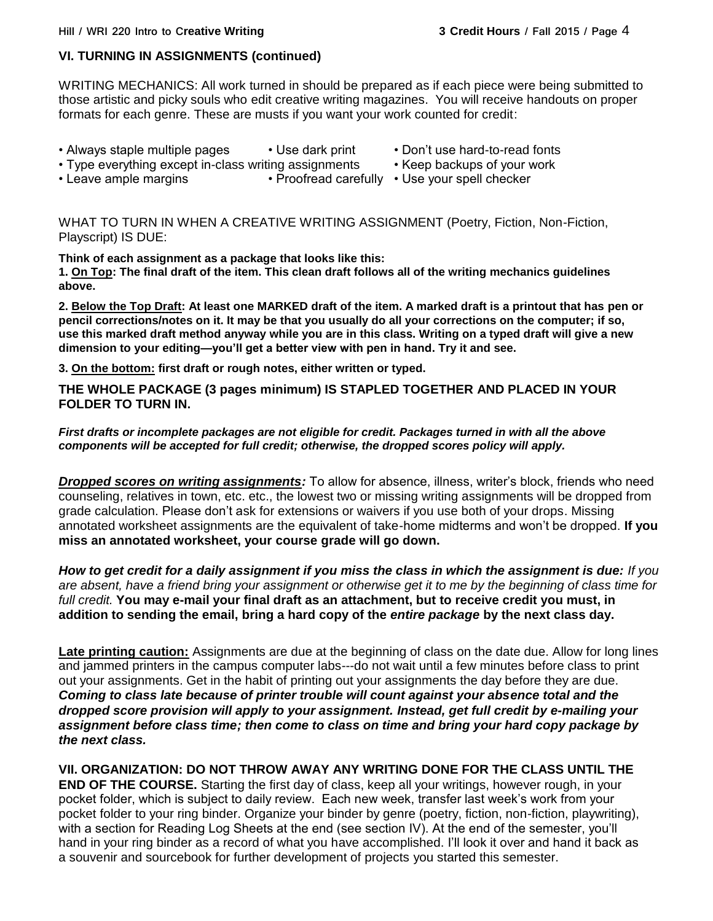#### **VI. TURNING IN ASSIGNMENTS (continued)**

WRITING MECHANICS: All work turned in should be prepared as if each piece were being submitted to those artistic and picky souls who edit creative writing magazines. You will receive handouts on proper formats for each genre. These are musts if you want your work counted for credit:

- Always staple multiple pages Use dark print Don't use hard-to-read fonts
- Type everything except in-class writing assignments Keep backups of your work
- 
- Leave ample margins Proofread carefully Use your spell checker

WHAT TO TURN IN WHEN A CREATIVE WRITING ASSIGNMENT (Poetry, Fiction, Non-Fiction, Playscript) IS DUE:

**Think of each assignment as a package that looks like this: 1. On Top: The final draft of the item. This clean draft follows all of the writing mechanics guidelines above.**

**2. Below the Top Draft: At least one MARKED draft of the item. A marked draft is a printout that has pen or pencil corrections/notes on it. It may be that you usually do all your corrections on the computer; if so, use this marked draft method anyway while you are in this class. Writing on a typed draft will give a new dimension to your editing—you'll get a better view with pen in hand. Try it and see.**

**3. On the bottom: first draft or rough notes, either written or typed.**

**THE WHOLE PACKAGE (3 pages minimum) IS STAPLED TOGETHER AND PLACED IN YOUR FOLDER TO TURN IN.**

#### *First drafts or incomplete packages are not eligible for credit. Packages turned in with all the above components will be accepted for full credit; otherwise, the dropped scores policy will apply.*

*Dropped scores on writing assignments:* To allow for absence, illness, writer's block, friends who need counseling, relatives in town, etc. etc., the lowest two or missing writing assignments will be dropped from grade calculation. Please don't ask for extensions or waivers if you use both of your drops. Missing annotated worksheet assignments are the equivalent of take-home midterms and won't be dropped. **If you miss an annotated worksheet, your course grade will go down.**

*How to get credit for a daily assignment if you miss the class in which the assignment is due: If you are absent, have a friend bring your assignment or otherwise get it to me by the beginning of class time for full credit.* **You may e-mail your final draft as an attachment, but to receive credit you must, in addition to sending the email, bring a hard copy of the** *entire package* **by the next class day.**

**Late printing caution:** Assignments are due at the beginning of class on the date due. Allow for long lines and jammed printers in the campus computer labs---do not wait until a few minutes before class to print out your assignments. Get in the habit of printing out your assignments the day before they are due. *Coming to class late because of printer trouble will count against your absence total and the dropped score provision will apply to your assignment. Instead, get full credit by e-mailing your assignment before class time; then come to class on time and bring your hard copy package by the next class.* 

**VII. ORGANIZATION: DO NOT THROW AWAY ANY WRITING DONE FOR THE CLASS UNTIL THE END OF THE COURSE.** Starting the first day of class, keep all your writings, however rough, in your pocket folder, which is subject to daily review. Each new week, transfer last week's work from your pocket folder to your ring binder. Organize your binder by genre (poetry, fiction, non-fiction, playwriting), with a section for Reading Log Sheets at the end (see section IV). At the end of the semester, you'll hand in your ring binder as a record of what you have accomplished. I'll look it over and hand it back as a souvenir and sourcebook for further development of projects you started this semester.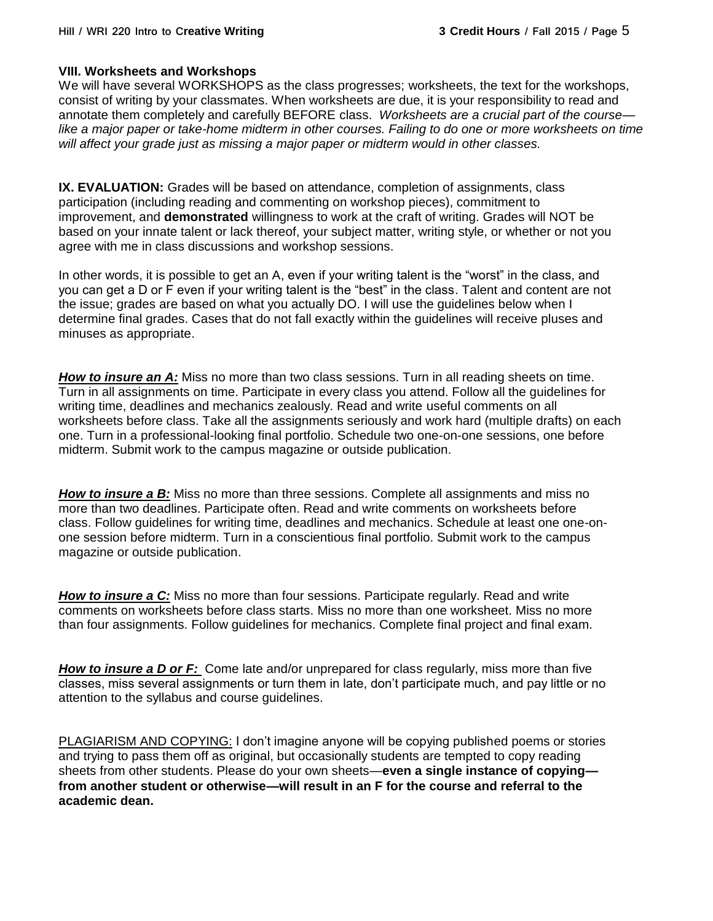#### **VIII. Worksheets and Workshops**

We will have several WORKSHOPS as the class progresses; worksheets, the text for the workshops, consist of writing by your classmates. When worksheets are due, it is your responsibility to read and annotate them completely and carefully BEFORE class. *Worksheets are a crucial part of the course like a major paper or take-home midterm in other courses. Failing to do one or more worksheets on time will affect your grade just as missing a major paper or midterm would in other classes.*

**IX. EVALUATION:** Grades will be based on attendance, completion of assignments, class participation (including reading and commenting on workshop pieces), commitment to improvement, and **demonstrated** willingness to work at the craft of writing. Grades will NOT be based on your innate talent or lack thereof, your subject matter, writing style, or whether or not you agree with me in class discussions and workshop sessions.

In other words, it is possible to get an A, even if your writing talent is the "worst" in the class, and you can get a D or F even if your writing talent is the "best" in the class. Talent and content are not the issue; grades are based on what you actually DO. I will use the guidelines below when I determine final grades. Cases that do not fall exactly within the guidelines will receive pluses and minuses as appropriate.

**How to insure an A:** Miss no more than two class sessions. Turn in all reading sheets on time. Turn in all assignments on time. Participate in every class you attend. Follow all the guidelines for writing time, deadlines and mechanics zealously. Read and write useful comments on all worksheets before class. Take all the assignments seriously and work hard (multiple drafts) on each one. Turn in a professional-looking final portfolio. Schedule two one-on-one sessions, one before midterm. Submit work to the campus magazine or outside publication.

*How to insure a B:* Miss no more than three sessions. Complete all assignments and miss no more than two deadlines. Participate often. Read and write comments on worksheets before class. Follow guidelines for writing time, deadlines and mechanics. Schedule at least one one-onone session before midterm. Turn in a conscientious final portfolio. Submit work to the campus magazine or outside publication.

*How to insure a C:* Miss no more than four sessions. Participate regularly. Read and write comments on worksheets before class starts. Miss no more than one worksheet. Miss no more than four assignments. Follow guidelines for mechanics. Complete final project and final exam.

*How to insure a D or F:* Come late and/or unprepared for class regularly, miss more than five classes, miss several assignments or turn them in late, don't participate much, and pay little or no attention to the syllabus and course guidelines.

PLAGIARISM AND COPYING: I don't imagine anyone will be copying published poems or stories and trying to pass them off as original, but occasionally students are tempted to copy reading sheets from other students. Please do your own sheets—**even a single instance of copying from another student or otherwise—will result in an F for the course and referral to the academic dean.**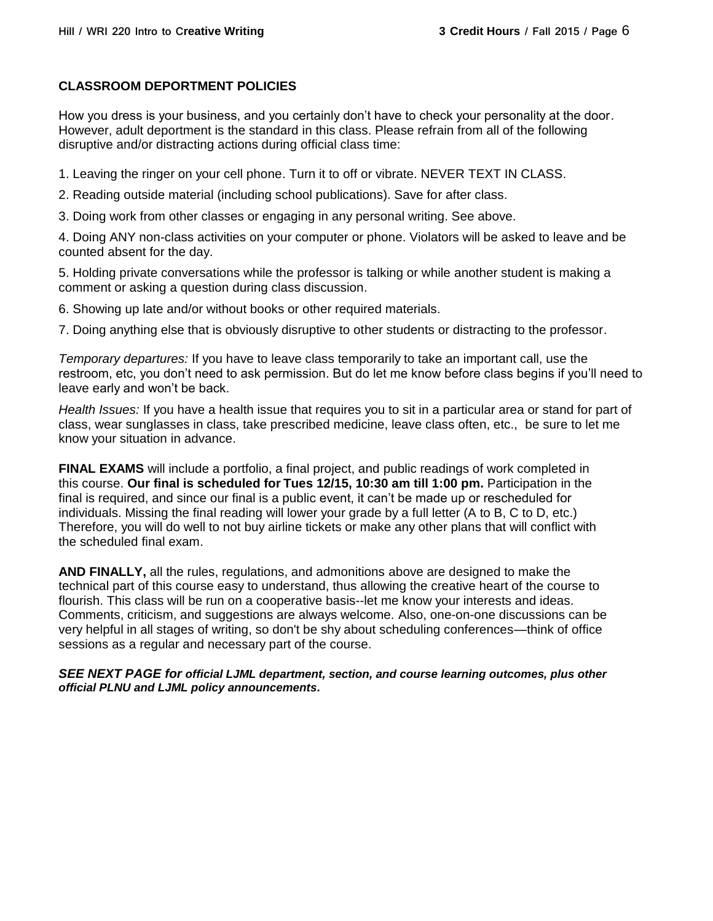#### **CLASSROOM DEPORTMENT POLICIES**

How you dress is your business, and you certainly don't have to check your personality at the door. However, adult deportment is the standard in this class. Please refrain from all of the following disruptive and/or distracting actions during official class time:

1. Leaving the ringer on your cell phone. Turn it to off or vibrate. NEVER TEXT IN CLASS.

2. Reading outside material (including school publications). Save for after class.

3. Doing work from other classes or engaging in any personal writing. See above.

4. Doing ANY non-class activities on your computer or phone. Violators will be asked to leave and be counted absent for the day.

5. Holding private conversations while the professor is talking or while another student is making a comment or asking a question during class discussion.

6. Showing up late and/or without books or other required materials.

7. Doing anything else that is obviously disruptive to other students or distracting to the professor.

*Temporary departures:* If you have to leave class temporarily to take an important call, use the restroom, etc, you don't need to ask permission. But do let me know before class begins if you'll need to leave early and won't be back.

*Health Issues:* If you have a health issue that requires you to sit in a particular area or stand for part of class, wear sunglasses in class, take prescribed medicine, leave class often, etc., be sure to let me know your situation in advance.

**FINAL EXAMS** will include a portfolio, a final project, and public readings of work completed in this course. **Our final is scheduled for Tues 12/15, 10:30 am till 1:00 pm.** Participation in the final is required, and since our final is a public event, it can't be made up or rescheduled for individuals. Missing the final reading will lower your grade by a full letter (A to B, C to D, etc.) Therefore, you will do well to not buy airline tickets or make any other plans that will conflict with the scheduled final exam.

**AND FINALLY,** all the rules, regulations, and admonitions above are designed to make the technical part of this course easy to understand, thus allowing the creative heart of the course to flourish. This class will be run on a cooperative basis--let me know your interests and ideas. Comments, criticism, and suggestions are always welcome. Also, one-on-one discussions can be very helpful in all stages of writing, so don't be shy about scheduling conferences—think of office sessions as a regular and necessary part of the course.

*SEE NEXT PAGE for official LJML department, section, and course learning outcomes, plus other official PLNU and LJML policy announcements.*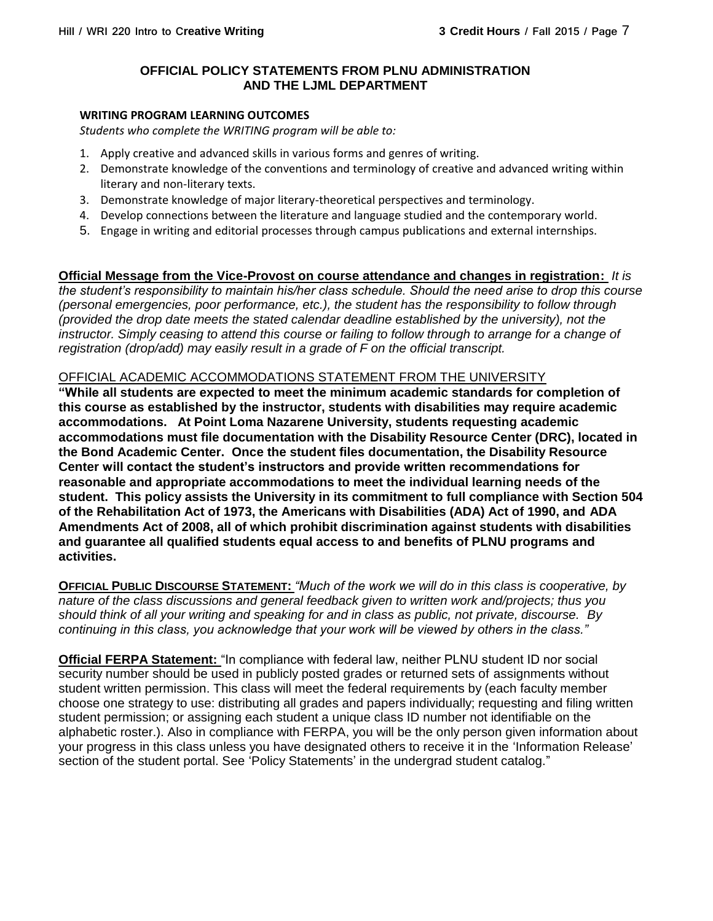#### **OFFICIAL POLICY STATEMENTS FROM PLNU ADMINISTRATION AND THE LJML DEPARTMENT**

#### **WRITING PROGRAM LEARNING OUTCOMES**

*Students who complete the WRITING program will be able to:*

- 1. Apply creative and advanced skills in various forms and genres of writing.
- 2. Demonstrate knowledge of the conventions and terminology of creative and advanced writing within literary and non-literary texts.
- 3. Demonstrate knowledge of major literary-theoretical perspectives and terminology.
- 4. Develop connections between the literature and language studied and the contemporary world.
- 5. Engage in writing and editorial processes through campus publications and external internships.

## **Official Message from the Vice-Provost on course attendance and changes in registration:** *It is*

*the student's responsibility to maintain his/her class schedule. Should the need arise to drop this course (personal emergencies, poor performance, etc.), the student has the responsibility to follow through (provided the drop date meets the stated calendar deadline established by the university), not the instructor. Simply ceasing to attend this course or failing to follow through to arrange for a change of registration (drop/add) may easily result in a grade of F on the official transcript.*

#### OFFICIAL ACADEMIC ACCOMMODATIONS STATEMENT FROM THE UNIVERSITY

**"While all students are expected to meet the minimum academic standards for completion of this course as established by the instructor, students with disabilities may require academic accommodations. At Point Loma Nazarene University, students requesting academic accommodations must file documentation with the Disability Resource Center (DRC), located in the Bond Academic Center. Once the student files documentation, the Disability Resource Center will contact the student's instructors and provide written recommendations for reasonable and appropriate accommodations to meet the individual learning needs of the student. This policy assists the University in its commitment to full compliance with Section 504 of the Rehabilitation Act of 1973, the Americans with Disabilities (ADA) Act of 1990, and ADA Amendments Act of 2008, all of which prohibit discrimination against students with disabilities and guarantee all qualified students equal access to and benefits of PLNU programs and activities.**

**OFFICIAL PUBLIC DISCOURSE STATEMENT:** *"Much of the work we will do in this class is cooperative, by nature of the class discussions and general feedback given to written work and/projects; thus you should think of all your writing and speaking for and in class as public, not private, discourse. By continuing in this class, you acknowledge that your work will be viewed by others in the class."*

**Official FERPA Statement:** "In compliance with federal law, neither PLNU student ID nor social security number should be used in publicly posted grades or returned sets of assignments without student written permission. This class will meet the federal requirements by (each faculty member choose one strategy to use: distributing all grades and papers individually; requesting and filing written student permission; or assigning each student a unique class ID number not identifiable on the alphabetic roster.). Also in compliance with FERPA, you will be the only person given information about your progress in this class unless you have designated others to receive it in the 'Information Release' section of the student portal. See 'Policy Statements' in the undergrad student catalog."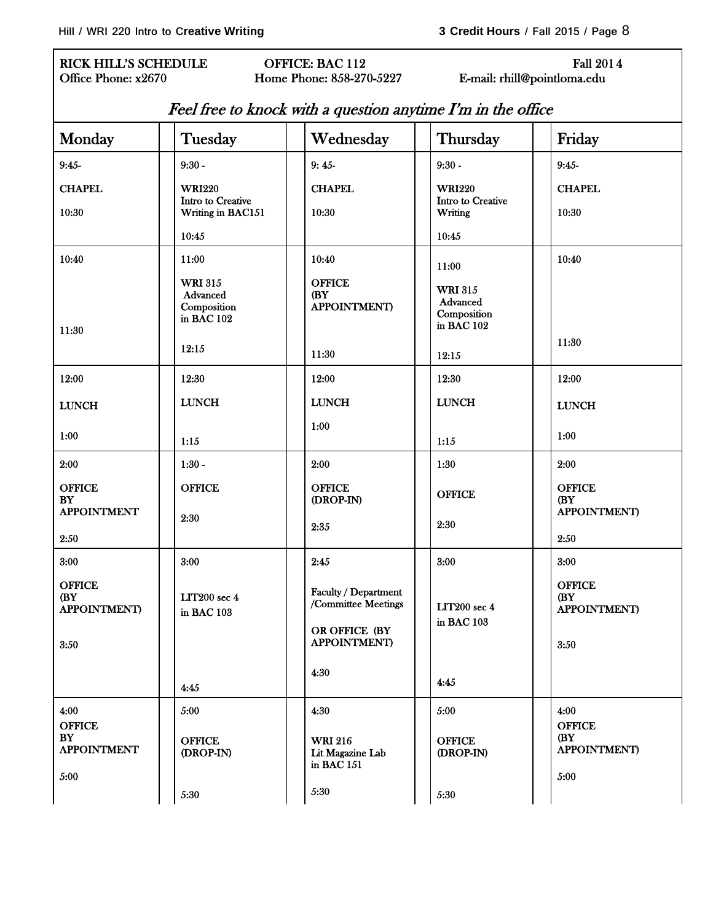# RICK HILL'S SCHEDULE OFFICE: BAC 112 Fall 2014<br>Office Phone: x2670 Home Phone: 858-270-5227 E-mail: rhill@pointloma.edu

Home Phone: 858-270-5227 E-mail: rhill@pointloma.edu

| Feel free to knock with a question anytime I'm in the office |  |  |
|--------------------------------------------------------------|--|--|
|--------------------------------------------------------------|--|--|

| Monday                                              | Tuesday                                                 | Wednesday                                                                           | Thursday                                                | Friday                                              |
|-----------------------------------------------------|---------------------------------------------------------|-------------------------------------------------------------------------------------|---------------------------------------------------------|-----------------------------------------------------|
| $9:45-$                                             | $9:30 -$                                                | $9:45-$                                                                             | $9:30 -$                                                | $9:45-$                                             |
| <b>CHAPEL</b>                                       | <b>WRI220</b>                                           | <b>CHAPEL</b>                                                                       | <b>WRI220</b>                                           | <b>CHAPEL</b>                                       |
| 10:30                                               | Intro to Creative<br>Writing in BAC151                  | 10:30                                                                               | Intro to Creative<br>Writing                            | 10:30                                               |
|                                                     | 10:45                                                   |                                                                                     | 10:45                                                   |                                                     |
| 10:40                                               | 11:00                                                   | 10:40                                                                               | 11:00                                                   | 10:40                                               |
| 11:30                                               | <b>WRI 315</b><br>Advanced<br>Composition<br>in BAC 102 | <b>OFFICE</b><br>(BY<br><b>APPOINTMENT)</b>                                         | <b>WRI 315</b><br>Advanced<br>Composition<br>in BAC 102 |                                                     |
|                                                     | 12:15                                                   | 11:30                                                                               | 12:15                                                   | 11:30                                               |
| 12:00                                               | 12:30                                                   | 12:00                                                                               | 12:30                                                   | 12:00                                               |
| <b>LUNCH</b>                                        | <b>LUNCH</b>                                            | <b>LUNCH</b>                                                                        | <b>LUNCH</b>                                            | <b>LUNCH</b>                                        |
| 1:00                                                | $1:15$                                                  | 1:00                                                                                | 1:15                                                    | 1:00                                                |
| 2:00                                                | $1:30 -$                                                | 2:00                                                                                | 1:30                                                    | 2:00                                                |
| <b>OFFICE</b><br><b>BY</b><br><b>APPOINTMENT</b>    | <b>OFFICE</b>                                           | <b>OFFICE</b><br>(DROP-IN)                                                          | <b>OFFICE</b>                                           | <b>OFFICE</b><br>(BY<br><b>APPOINTMENT)</b>         |
| 2:50                                                | 2:30                                                    | 2:35                                                                                | 2:30                                                    | 2:50                                                |
| 3:00                                                | 3:00                                                    | 2:45                                                                                | 3:00                                                    | 3:00                                                |
| <b>OFFICE</b><br>(BY<br><b>APPOINTMENT)</b><br>3:50 | LIT200 sec 4<br>in BAC 103                              | Faculty / Department<br>/Committee Meetings<br>OR OFFICE (BY<br><b>APPOINTMENT)</b> | <b>LIT200</b> sec 4<br>in BAC 103                       | <b>OFFICE</b><br>(BY<br><b>APPOINTMENT)</b><br>3:50 |
|                                                     | 4:45                                                    | 4:30                                                                                | 4:45                                                    |                                                     |
| 4:00                                                | 5:00                                                    | 4:30                                                                                | 5:00                                                    | 4:00                                                |
| <b>OFFICE</b><br><b>BY</b><br><b>APPOINTMENT</b>    | <b>OFFICE</b><br>(DROP-IN)                              | <b>WRI 216</b><br>Lit Magazine Lab<br>in BAC 151                                    | <b>OFFICE</b><br>(DROP-IN)                              | <b>OFFICE</b><br>(BY<br><b>APPOINTMENT</b> )        |
| 5:00                                                | 5:30                                                    | 5:30                                                                                | 5:30                                                    | 5:00                                                |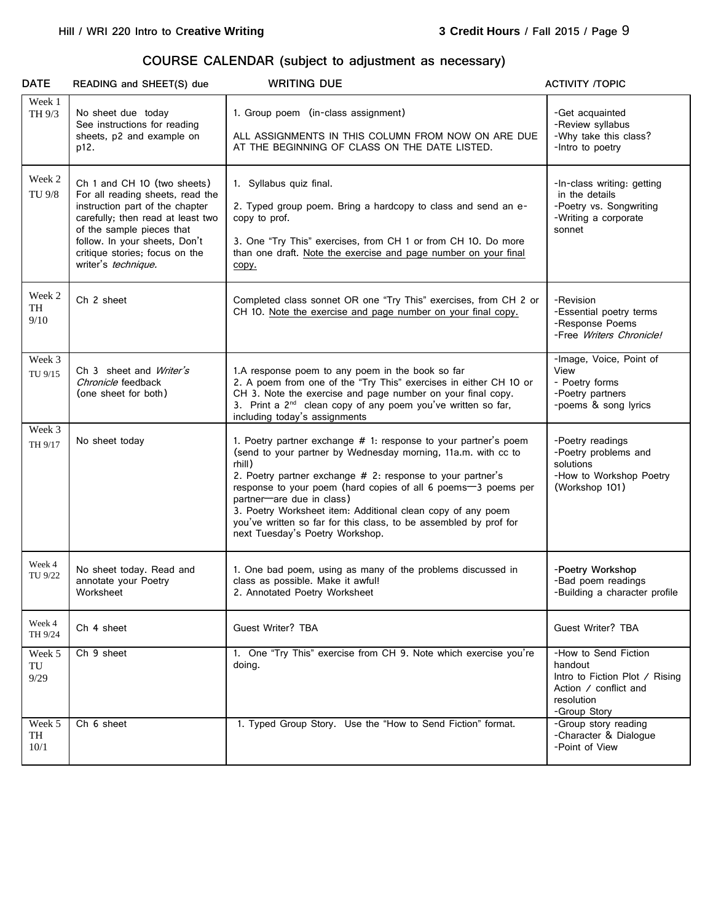## **COURSE CALENDAR (subject to adjustment as necessary)**

| <b>DATE</b>          | READING and SHEET(S) due                                                                                                                                                                                                                                       | <b>WRITING DUE</b>                                                                                                                                                                                                                                                                                                                                                                                                                                                            | <b>ACTIVITY /TOPIC</b>                                                                                                   |
|----------------------|----------------------------------------------------------------------------------------------------------------------------------------------------------------------------------------------------------------------------------------------------------------|-------------------------------------------------------------------------------------------------------------------------------------------------------------------------------------------------------------------------------------------------------------------------------------------------------------------------------------------------------------------------------------------------------------------------------------------------------------------------------|--------------------------------------------------------------------------------------------------------------------------|
| Week 1<br>TH 9/3     | No sheet due today<br>See instructions for reading<br>sheets, p2 and example on<br>p12.                                                                                                                                                                        | 1. Group poem (in-class assignment)<br>ALL ASSIGNMENTS IN THIS COLUMN FROM NOW ON ARE DUE<br>AT THE BEGINNING OF CLASS ON THE DATE LISTED.                                                                                                                                                                                                                                                                                                                                    | -Get acquainted<br>-Review syllabus<br>-Why take this class?<br>-Intro to poetry                                         |
| Week 2<br>TU 9/8     | Ch 1 and CH 10 (two sheets)<br>For all reading sheets, read the<br>instruction part of the chapter<br>carefully; then read at least two<br>of the sample pieces that<br>follow. In your sheets, Don't<br>critique stories; focus on the<br>writer's technique. | 1. Syllabus quiz final.<br>2. Typed group poem. Bring a hardcopy to class and send an e-<br>copy to prof.<br>3. One "Try This" exercises, from CH 1 or from CH 10. Do more<br>than one draft. Note the exercise and page number on your final<br>copy.                                                                                                                                                                                                                        | -In-class writing: getting<br>in the details<br>-Poetry vs. Songwriting<br>-Writing a corporate<br>sonnet                |
| Week 2<br>TH<br>9/10 | Ch 2 sheet                                                                                                                                                                                                                                                     | Completed class sonnet OR one "Try This" exercises, from CH 2 or<br>CH 10. Note the exercise and page number on your final copy.                                                                                                                                                                                                                                                                                                                                              | -Revision<br>-Essential poetry terms<br>-Response Poems<br>-Free Writers Chronicle!                                      |
| Week 3<br>TU 9/15    | Ch 3 sheet and Writer's<br>Chronicle feedback<br>(one sheet for both)                                                                                                                                                                                          | 1.A response poem to any poem in the book so far<br>2. A poem from one of the "Try This" exercises in either CH 10 or<br>CH 3. Note the exercise and page number on your final copy.<br>3. Print a 2 <sup>nd</sup> clean copy of any poem you've written so far,<br>including today's assignments                                                                                                                                                                             | -Image, Voice, Point of<br>View<br>- Poetry forms<br>-Poetry partners<br>-poems & song lyrics                            |
| Week 3<br>TH 9/17    | No sheet today                                                                                                                                                                                                                                                 | 1. Poetry partner exchange # 1: response to your partner's poem<br>(send to your partner by Wednesday morning, 11a.m. with cc to<br>rhill)<br>2. Poetry partner exchange # 2: response to your partner's<br>response to your poem (hard copies of all 6 poems-3 poems per<br>partner-are due in class)<br>3. Poetry Worksheet item: Additional clean copy of any poem<br>you've written so far for this class, to be assembled by prof for<br>next Tuesday's Poetry Workshop. | -Poetry readings<br>-Poetry problems and<br>solutions<br>-How to Workshop Poetry<br>(Workshop 101)                       |
| Week 4<br>TU 9/22    | No sheet today. Read and<br>annotate your Poetry<br>Worksheet                                                                                                                                                                                                  | 1. One bad poem, using as many of the problems discussed in<br>class as possible. Make it awful!<br>2. Annotated Poetry Worksheet                                                                                                                                                                                                                                                                                                                                             | -Poetry Workshop<br>-Bad poem readings<br>-Building a character profile                                                  |
| Week 4<br>TH 9/24    | Ch 4 sheet                                                                                                                                                                                                                                                     | Guest Writer? TBA                                                                                                                                                                                                                                                                                                                                                                                                                                                             | <b>Guest Writer? TBA</b>                                                                                                 |
| Week 5<br>TU<br>9/29 | Ch 9 sheet                                                                                                                                                                                                                                                     | 1. One "Try This" exercise from CH 9. Note which exercise you're<br>doing.                                                                                                                                                                                                                                                                                                                                                                                                    | -How to Send Fiction<br>handout<br>Intro to Fiction Plot / Rising<br>Action / conflict and<br>resolution<br>-Group Story |
| Week 5<br>TH<br>10/1 | Ch 6 sheet                                                                                                                                                                                                                                                     | 1. Typed Group Story. Use the "How to Send Fiction" format.                                                                                                                                                                                                                                                                                                                                                                                                                   | -Group story reading<br>-Character & Dialogue<br>-Point of View                                                          |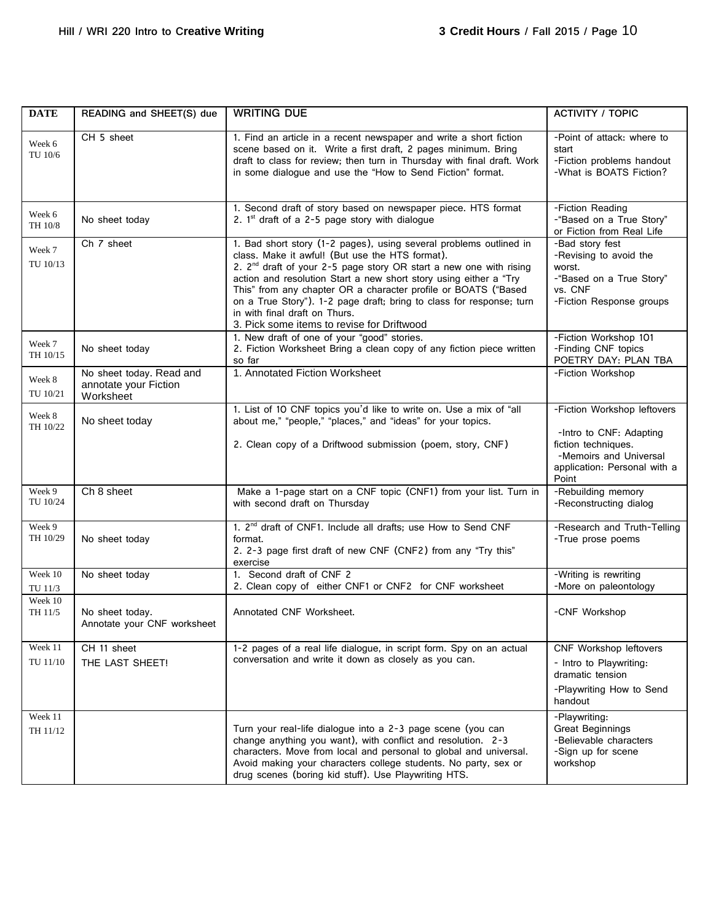| <b>DATE</b>         | READING and SHEET(S) due                                       | <b>WRITING DUE</b>                                                                                                                                                                                                                                                                                                                                                                                                                                                                                    | <b>ACTIVITY / TOPIC</b>                                                                                                |
|---------------------|----------------------------------------------------------------|-------------------------------------------------------------------------------------------------------------------------------------------------------------------------------------------------------------------------------------------------------------------------------------------------------------------------------------------------------------------------------------------------------------------------------------------------------------------------------------------------------|------------------------------------------------------------------------------------------------------------------------|
| Week 6<br>TU 10/6   | CH 5 sheet                                                     | 1. Find an article in a recent newspaper and write a short fiction<br>scene based on it. Write a first draft, 2 pages minimum. Bring<br>draft to class for review; then turn in Thursday with final draft. Work<br>in some dialogue and use the "How to Send Fiction" format.                                                                                                                                                                                                                         | -Point of attack: where to<br>start<br>-Fiction problems handout<br>-What is BOATS Fiction?                            |
| Week 6<br>TH 10/8   | No sheet today                                                 | 1. Second draft of story based on newspaper piece. HTS format<br>2. $1st$ draft of a 2-5 page story with dialogue                                                                                                                                                                                                                                                                                                                                                                                     | -Fiction Reading<br>-"Based on a True Story"<br>or Fiction from Real Life                                              |
| Week 7<br>TU 10/13  | Ch 7 sheet                                                     | 1. Bad short story (1-2 pages), using several problems outlined in<br>class. Make it awful! (But use the HTS format).<br>2. 2 <sup>nd</sup> draft of your 2-5 page story OR start a new one with rising<br>action and resolution Start a new short story using either a "Try<br>This" from any chapter OR a character profile or BOATS ("Based<br>on a True Story"). 1-2 page draft; bring to class for response; turn<br>in with final draft on Thurs.<br>3. Pick some items to revise for Driftwood | -Bad story fest<br>-Revising to avoid the<br>worst.<br>-"Based on a True Story"<br>vs. CNF<br>-Fiction Response groups |
| Week 7<br>TH 10/15  | No sheet today                                                 | 1. New draft of one of your "good" stories.<br>2. Fiction Worksheet Bring a clean copy of any fiction piece written<br>so far                                                                                                                                                                                                                                                                                                                                                                         | -Fiction Workshop 101<br>-Finding CNF topics<br>POETRY DAY: PLAN TBA                                                   |
| Week 8<br>TU 10/21  | No sheet today. Read and<br>annotate your Fiction<br>Worksheet | 1. Annotated Fiction Worksheet                                                                                                                                                                                                                                                                                                                                                                                                                                                                        | -Fiction Workshop                                                                                                      |
| Week 8<br>TH 10/22  | No sheet today                                                 | 1. List of 10 CNF topics you'd like to write on. Use a mix of "all<br>about me," "people," "places," and "ideas" for your topics.                                                                                                                                                                                                                                                                                                                                                                     | -Fiction Workshop leftovers<br>-Intro to CNF: Adapting                                                                 |
|                     |                                                                | 2. Clean copy of a Driftwood submission (poem, story, CNF)                                                                                                                                                                                                                                                                                                                                                                                                                                            | fiction techniques.<br>-Memoirs and Universal<br>application: Personal with a<br>Point                                 |
| Week 9<br>TU 10/24  | Ch 8 sheet                                                     | Make a 1-page start on a CNF topic (CNF1) from your list. Turn in<br>with second draft on Thursday                                                                                                                                                                                                                                                                                                                                                                                                    | -Rebuilding memory<br>-Reconstructing dialog                                                                           |
| Week 9<br>TH 10/29  | No sheet today                                                 | 1. 2 <sup>nd</sup> draft of CNF1. Include all drafts; use How to Send CNF<br>format.<br>2. 2-3 page first draft of new CNF (CNF2) from any "Try this"<br>exercise                                                                                                                                                                                                                                                                                                                                     | -Research and Truth-Telling<br>-True prose poems                                                                       |
| Week 10<br>TU 11/3  | No sheet today                                                 | 1. Second draft of CNF 2<br>2. Clean copy of either CNF1 or CNF2 for CNF worksheet                                                                                                                                                                                                                                                                                                                                                                                                                    | -Writing is rewriting<br>-More on paleontology                                                                         |
| Week 10<br>TH 11/5  | No sheet today.<br>Annotate your CNF worksheet                 | Annotated CNF Worksheet.                                                                                                                                                                                                                                                                                                                                                                                                                                                                              | -CNF Workshop                                                                                                          |
| Week 11<br>TU 11/10 | CH 11 sheet<br>THE LAST SHEET!                                 | 1-2 pages of a real life dialogue, in script form. Spy on an actual<br>conversation and write it down as closely as you can.                                                                                                                                                                                                                                                                                                                                                                          | CNF Workshop leftovers<br>- Intro to Playwriting:<br>dramatic tension<br>-Playwriting How to Send<br>handout           |
| Week 11<br>TH 11/12 |                                                                | Turn your real-life dialogue into a 2-3 page scene (you can<br>change anything you want), with conflict and resolution. 2-3<br>characters. Move from local and personal to global and universal.<br>Avoid making your characters college students. No party, sex or<br>drug scenes (boring kid stuff). Use Playwriting HTS.                                                                                                                                                                           | -Playwriting:<br><b>Great Beginnings</b><br>-Believable characters<br>-Sign up for scene<br>workshop                   |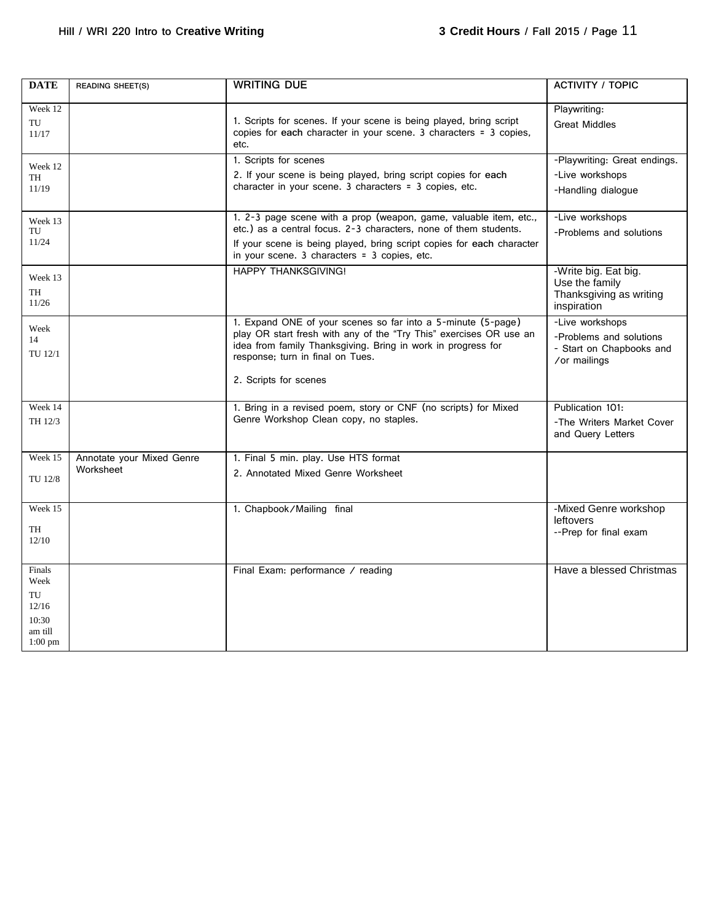| <b>DATE</b>                                                    | <b>READING SHEET(S)</b>                | <b>WRITING DUE</b>                                                                                                                                                                                                                                              | <b>ACTIVITY / TOPIC</b>                                                                |
|----------------------------------------------------------------|----------------------------------------|-----------------------------------------------------------------------------------------------------------------------------------------------------------------------------------------------------------------------------------------------------------------|----------------------------------------------------------------------------------------|
| Week 12<br>TU<br>11/17                                         |                                        | 1. Scripts for scenes. If your scene is being played, bring script<br>copies for each character in your scene. 3 characters = 3 copies,<br>etc.                                                                                                                 | Playwriting:<br><b>Great Middles</b>                                                   |
| Week 12<br>TH<br>11/19                                         |                                        | 1. Scripts for scenes<br>2. If your scene is being played, bring script copies for each<br>character in your scene. 3 characters = 3 copies, etc.                                                                                                               | -Playwriting: Great endings.<br>-Live workshops<br>-Handling dialogue                  |
| Week 13<br>TU<br>11/24                                         |                                        | 1. 2-3 page scene with a prop (weapon, game, valuable item, etc.,<br>etc.) as a central focus. 2-3 characters, none of them students.<br>If your scene is being played, bring script copies for each character<br>in your scene. 3 characters = 3 copies, etc.  | -Live workshops<br>-Problems and solutions                                             |
| Week 13<br>TH<br>11/26                                         |                                        | <b>HAPPY THANKSGIVING!</b>                                                                                                                                                                                                                                      | -Write big. Eat big.<br>Use the family<br>Thanksgiving as writing<br>inspiration       |
| Week<br>14<br>TU 12/1                                          |                                        | 1. Expand ONE of your scenes so far into a 5-minute (5-page)<br>play OR start fresh with any of the "Try This" exercises OR use an<br>idea from family Thanksgiving. Bring in work in progress for<br>response; turn in final on Tues.<br>2. Scripts for scenes | -Live workshops<br>-Problems and solutions<br>- Start on Chapbooks and<br>/or mailings |
| Week 14<br>TH 12/3                                             |                                        | 1. Bring in a revised poem, story or CNF (no scripts) for Mixed<br>Genre Workshop Clean copy, no staples.                                                                                                                                                       | Publication 101:<br>-The Writers Market Cover<br>and Query Letters                     |
| Week 15<br>TU 12/8                                             | Annotate your Mixed Genre<br>Worksheet | 1. Final 5 min. play. Use HTS format<br>2. Annotated Mixed Genre Worksheet                                                                                                                                                                                      |                                                                                        |
| Week 15<br>TH<br>12/10                                         |                                        | 1. Chapbook/Mailing final                                                                                                                                                                                                                                       | -Mixed Genre workshop<br>leftovers<br>--Prep for final exam                            |
| Finals<br>Week<br>TU<br>12/16<br>10:30<br>am till<br>$1:00$ pm |                                        | Final Exam: performance / reading                                                                                                                                                                                                                               | Have a blessed Christmas                                                               |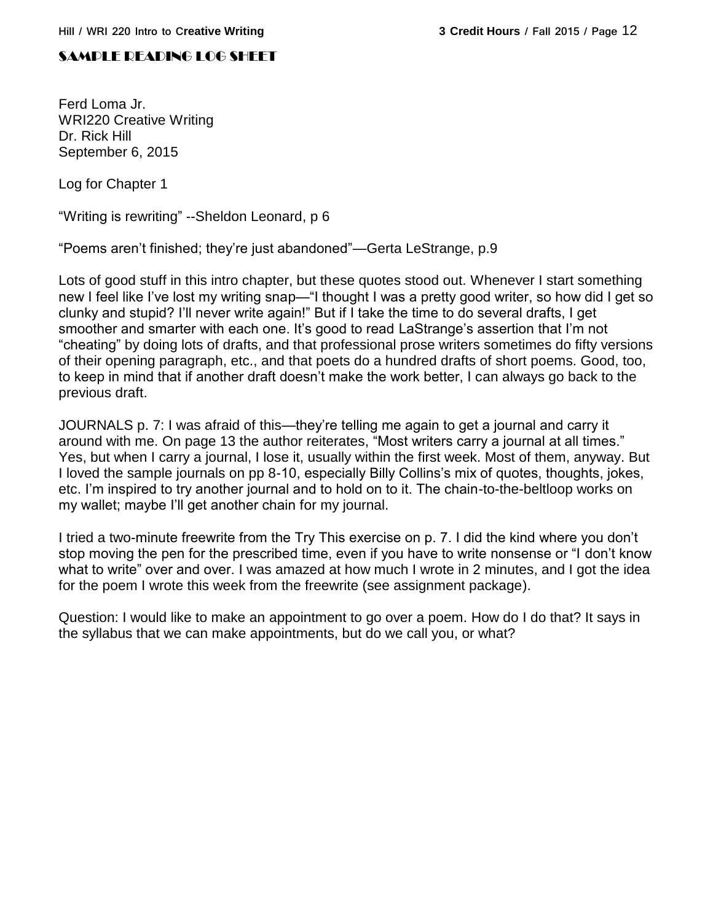## SAMPLE READING LOG SHEET

Ferd Loma Jr. WRI220 Creative Writing Dr. Rick Hill September 6, 2015

Log for Chapter 1

"Writing is rewriting" --Sheldon Leonard, p 6

"Poems aren't finished; they're just abandoned"—Gerta LeStrange, p.9

Lots of good stuff in this intro chapter, but these quotes stood out. Whenever I start something new I feel like I've lost my writing snap—"I thought I was a pretty good writer, so how did I get so clunky and stupid? I'll never write again!" But if I take the time to do several drafts, I get smoother and smarter with each one. It's good to read LaStrange's assertion that I'm not "cheating" by doing lots of drafts, and that professional prose writers sometimes do fifty versions of their opening paragraph, etc., and that poets do a hundred drafts of short poems. Good, too, to keep in mind that if another draft doesn't make the work better, I can always go back to the previous draft.

JOURNALS p. 7: I was afraid of this—they're telling me again to get a journal and carry it around with me. On page 13 the author reiterates, "Most writers carry a journal at all times." Yes, but when I carry a journal, I lose it, usually within the first week. Most of them, anyway. But I loved the sample journals on pp 8-10, especially Billy Collins's mix of quotes, thoughts, jokes, etc. I'm inspired to try another journal and to hold on to it. The chain-to-the-beltloop works on my wallet; maybe I'll get another chain for my journal.

I tried a two-minute freewrite from the Try This exercise on p. 7. I did the kind where you don't stop moving the pen for the prescribed time, even if you have to write nonsense or "I don't know what to write" over and over. I was amazed at how much I wrote in 2 minutes, and I got the idea for the poem I wrote this week from the freewrite (see assignment package).

Question: I would like to make an appointment to go over a poem. How do I do that? It says in the syllabus that we can make appointments, but do we call you, or what?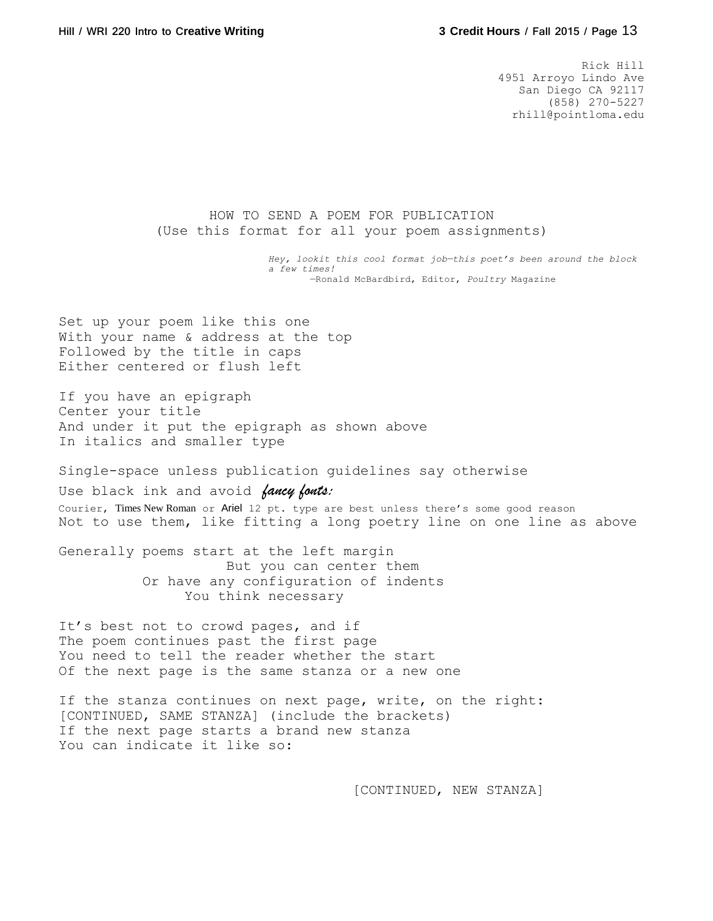Rick Hill 4951 Arroyo Lindo Ave San Diego CA 92117 (858) 270-5227 rhill@pointloma.edu

HOW TO SEND A POEM FOR PUBLICATION (Use this format for all your poem assignments)

> *Hey, lookit this cool format job—this poet's been around the block a few times!* —Ronald McBardbird, Editor, *Poultry* Magazine

Set up your poem like this one With your name & address at the top Followed by the title in caps Either centered or flush left

If you have an epigraph Center your title And under it put the epigraph as shown above In italics and smaller type

Single-space unless publication guidelines say otherwise

Use black ink and avoid *fancy fonts:* Courier, Times New Roman or Ariel 12 pt. type are best unless there's some good reason Not to use them, like fitting a long poetry line on one line as above

Generally poems start at the left margin But you can center them Or have any configuration of indents You think necessary

It's best not to crowd pages, and if The poem continues past the first page You need to tell the reader whether the start Of the next page is the same stanza or a new one

If the stanza continues on next page, write, on the right: [CONTINUED, SAME STANZA] (include the brackets) If the next page starts a brand new stanza You can indicate it like so:

[CONTINUED, NEW STANZA]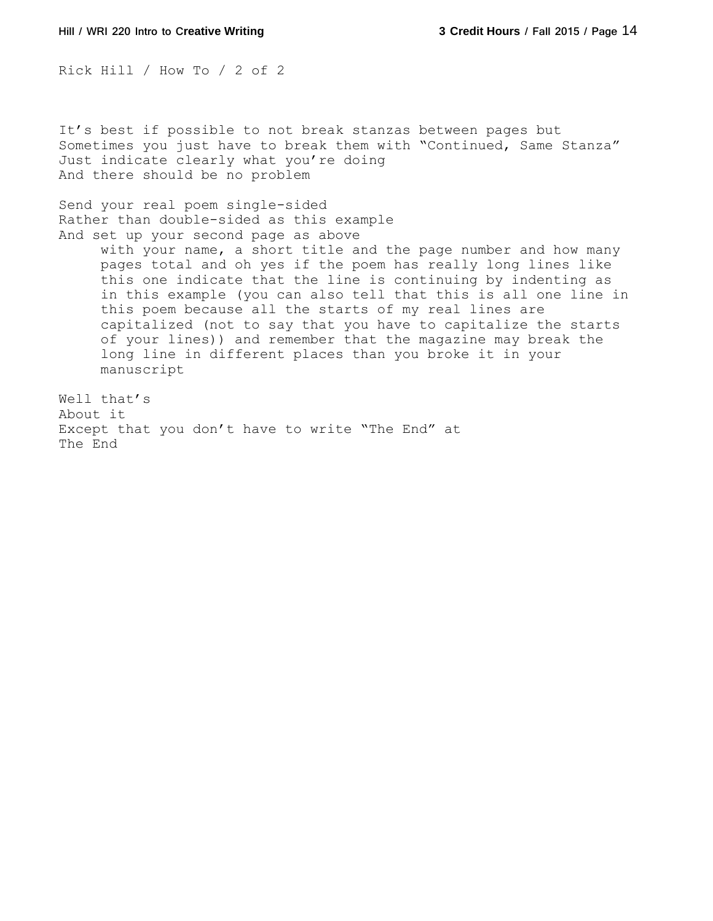Rick Hill / How To / 2 of 2

It's best if possible to not break stanzas between pages but Sometimes you just have to break them with "Continued, Same Stanza" Just indicate clearly what you're doing And there should be no problem

Send your real poem single-sided Rather than double-sided as this example And set up your second page as above

> with your name, a short title and the page number and how many pages total and oh yes if the poem has really long lines like this one indicate that the line is continuing by indenting as in this example (you can also tell that this is all one line in this poem because all the starts of my real lines are capitalized (not to say that you have to capitalize the starts of your lines)) and remember that the magazine may break the long line in different places than you broke it in your manuscript

Well that's About it Except that you don't have to write "The End" at The End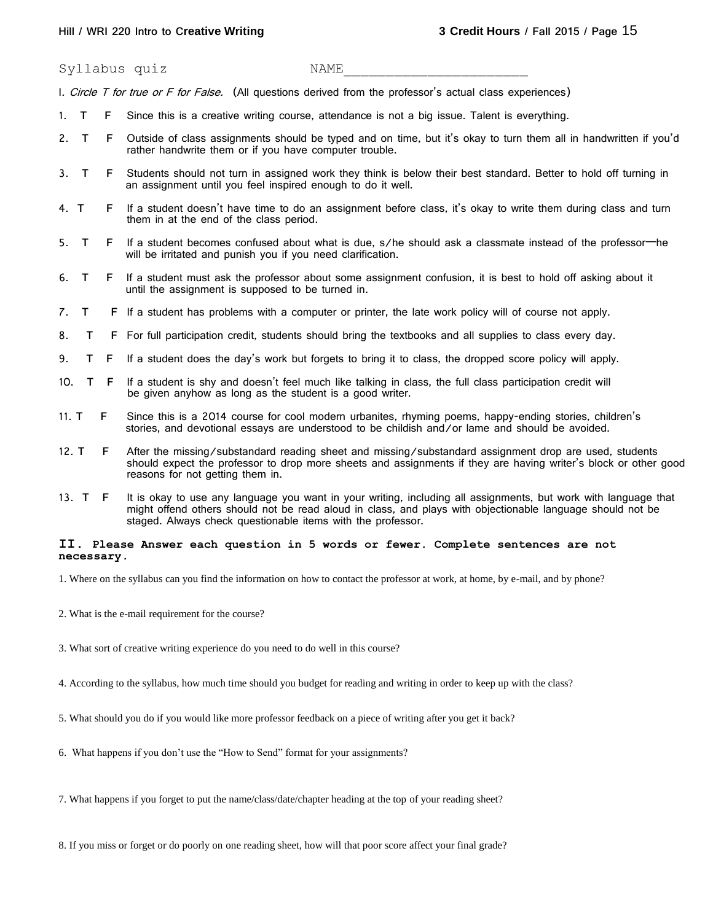Syllabus quiz NAME

I. Circle T for true or F for False. (All questions derived from the professor's actual class experiences)

- 1. **T F** Since this is a creative writing course, attendance is not a big issue. Talent is everything.
- 2. **T F** Outside of class assignments should be typed and on time, but it's okay to turn them all in handwritten if you'd rather handwrite them or if you have computer trouble.
- 3. **T F** Students should not turn in assigned work they think is below their best standard. Better to hold off turning in an assignment until you feel inspired enough to do it well.
- 4. **T F** If a student doesn't have time to do an assignment before class, it's okay to write them during class and turn them in at the end of the class period.
- 5. **T F** If a student becomes confused about what is due, s/he should ask a classmate instead of the professor—he will be irritated and punish you if you need clarification.
- 6. **T F** If a student must ask the professor about some assignment confusion, it is best to hold off asking about it until the assignment is supposed to be turned in.
- 7. **T F** If a student has problems with a computer or printer, the late work policy will of course not apply.
- 8. **T F** For full participation credit, students should bring the textbooks and all supplies to class every day.
- 9. **T F** If a student does the day's work but forgets to bring it to class, the dropped score policy will apply.
- 10. **T F** If a student is shy and doesn't feel much like talking in class, the full class participation credit will be given anyhow as long as the student is a good writer.
- 11. **T F** Since this is a 2014 course for cool modern urbanites, rhyming poems, happy-ending stories, children's stories, and devotional essays are understood to be childish and/or lame and should be avoided.
- 12. **T F** After the missing/substandard reading sheet and missing/substandard assignment drop are used, students should expect the professor to drop more sheets and assignments if they are having writer's block or other good reasons for not getting them in.
- 13. **T F** It is okay to use any language you want in your writing, including all assignments, but work with language that might offend others should not be read aloud in class, and plays with objectionable language should not be staged. Always check questionable items with the professor.

#### **II**. **Please Answer each question in 5 words or fewer. Complete sentences are not necessary***.*

1. Where on the syllabus can you find the information on how to contact the professor at work, at home, by e-mail, and by phone?

- 2. What is the e-mail requirement for the course?
- 3. What sort of creative writing experience do you need to do well in this course?
- 4. According to the syllabus, how much time should you budget for reading and writing in order to keep up with the class?
- 5. What should you do if you would like more professor feedback on a piece of writing after you get it back?
- 6. What happens if you don't use the "How to Send" format for your assignments?
- 7. What happens if you forget to put the name/class/date/chapter heading at the top of your reading sheet?
- 8. If you miss or forget or do poorly on one reading sheet, how will that poor score affect your final grade?